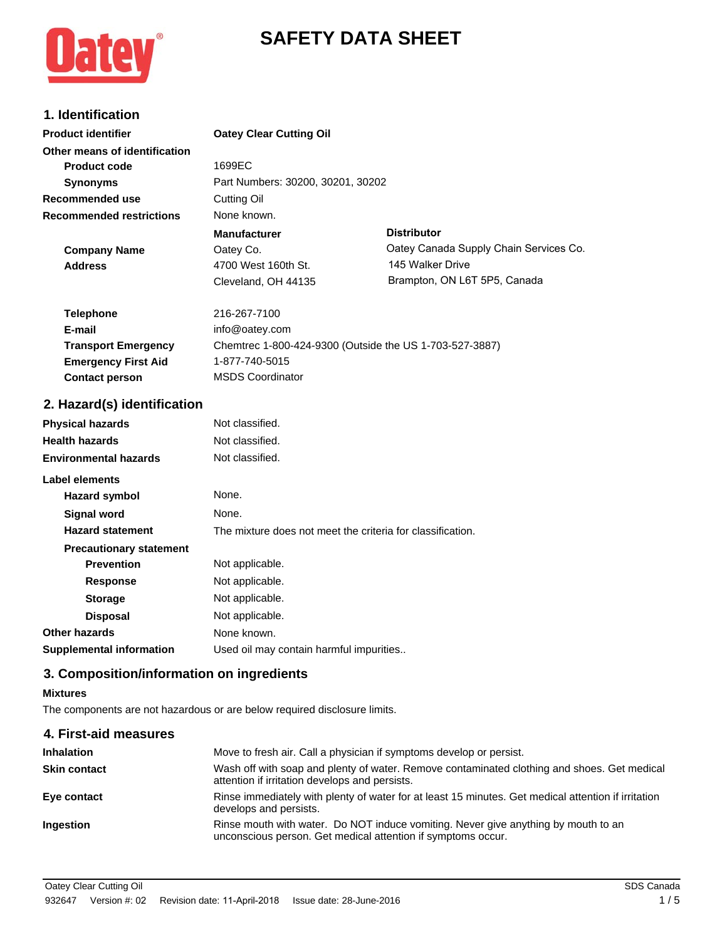

# **SAFETY DATA SHEET**

# **1. Identification**

| <b>Product identifier</b>       | <b>Oatey Clear Cutting Oil</b>    |                                        |
|---------------------------------|-----------------------------------|----------------------------------------|
| Other means of identification   |                                   |                                        |
| <b>Product code</b>             | 1699EC                            |                                        |
| <b>Synonyms</b>                 | Part Numbers: 30200, 30201, 30202 |                                        |
| Recommended use                 | Cutting Oil                       |                                        |
| <b>Recommended restrictions</b> | None known.                       |                                        |
|                                 | <b>Manufacturer</b>               | <b>Distributor</b>                     |
| <b>Company Name</b>             | Oatey Co.                         | Oatey Canada Supply Chain Services Co. |
| <b>Address</b>                  | 4700 West 160th St.               | 145 Walker Drive                       |
|                                 | Cleveland, OH 44135               | Brampton, ON L6T 5P5, Canada           |
|                                 |                                   |                                        |

| <b>Telephone</b>           | 216-267-7100                                            |
|----------------------------|---------------------------------------------------------|
| E-mail                     | info@oatey.com                                          |
| <b>Transport Emergency</b> | Chemtrec 1-800-424-9300 (Outside the US 1-703-527-3887) |
| <b>Emergency First Aid</b> | 1-877-740-5015                                          |
| <b>Contact person</b>      | <b>MSDS Coordinator</b>                                 |

## **2. Hazard(s) identification**

| <b>Physical hazards</b>         | Not classified.                                            |
|---------------------------------|------------------------------------------------------------|
| <b>Health hazards</b>           | Not classified.                                            |
| <b>Environmental hazards</b>    | Not classified.                                            |
| Label elements                  |                                                            |
| Hazard symbol                   | None.                                                      |
| <b>Signal word</b>              | None.                                                      |
| <b>Hazard statement</b>         | The mixture does not meet the criteria for classification. |
| <b>Precautionary statement</b>  |                                                            |
| <b>Prevention</b>               | Not applicable.                                            |
| <b>Response</b>                 | Not applicable.                                            |
| <b>Storage</b>                  | Not applicable.                                            |
| <b>Disposal</b>                 | Not applicable.                                            |
| Other hazards                   | None known.                                                |
| <b>Supplemental information</b> | Used oil may contain harmful impurities                    |

# **3. Composition/information on ingredients**

### **Mixtures**

The components are not hazardous or are below required disclosure limits.

| Move to fresh air. Call a physician if symptoms develop or persist.                                                                                |
|----------------------------------------------------------------------------------------------------------------------------------------------------|
| Wash off with soap and plenty of water. Remove contaminated clothing and shoes. Get medical<br>attention if irritation develops and persists.      |
| Rinse immediately with plenty of water for at least 15 minutes. Get medical attention if irritation<br>develops and persists.                      |
| Rinse mouth with water. Do NOT induce vomiting. Never give anything by mouth to an<br>unconscious person. Get medical attention if symptoms occur. |
|                                                                                                                                                    |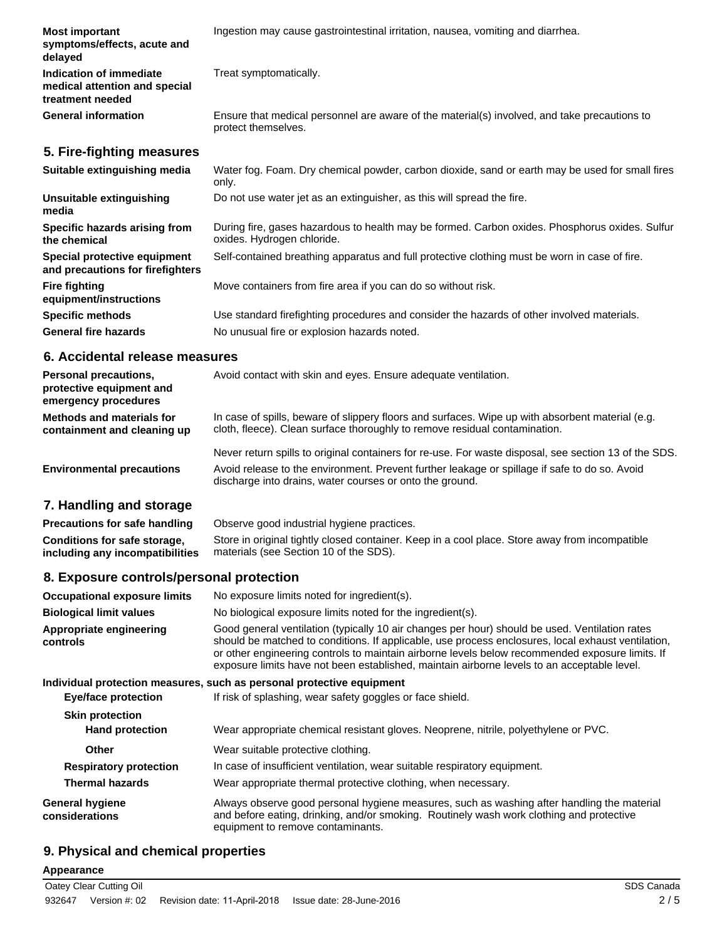| <b>Most important</b><br>symptoms/effects, acute and<br>delayed              | Ingestion may cause gastrointestinal irritation, nausea, vomiting and diarrhea.                                              |
|------------------------------------------------------------------------------|------------------------------------------------------------------------------------------------------------------------------|
| Indication of immediate<br>medical attention and special<br>treatment needed | Treat symptomatically.                                                                                                       |
| <b>General information</b>                                                   | Ensure that medical personnel are aware of the material(s) involved, and take precautions to<br>protect themselves.          |
| 5. Fire-fighting measures                                                    |                                                                                                                              |
| Suitable extinguishing media                                                 | Water fog. Foam. Dry chemical powder, carbon dioxide, sand or earth may be used for small fires<br>only.                     |
| Unsuitable extinguishing<br>media                                            | Do not use water jet as an extinguisher, as this will spread the fire.                                                       |
| Specific hazards arising from<br>the chemical                                | During fire, gases hazardous to health may be formed. Carbon oxides. Phosphorus oxides. Sulfur<br>oxides. Hydrogen chloride. |
| Special protective equipment<br>and precautions for firefighters             | Self-contained breathing apparatus and full protective clothing must be worn in case of fire.                                |
| <b>Fire fighting</b><br>equipment/instructions                               | Move containers from fire area if you can do so without risk.                                                                |
| <b>Specific methods</b>                                                      | Use standard firefighting procedures and consider the hazards of other involved materials.                                   |
| <b>General fire hazards</b>                                                  | No unusual fire or explosion hazards noted.                                                                                  |

### **6. Accidental release measures**

| <b>Personal precautions,</b><br>protective equipment and<br>emergency procedures | Avoid contact with skin and eyes. Ensure adequate ventilation.                                                                                                                                         |
|----------------------------------------------------------------------------------|--------------------------------------------------------------------------------------------------------------------------------------------------------------------------------------------------------|
| <b>Methods and materials for</b><br>containment and cleaning up                  | In case of spills, beware of slippery floors and surfaces. Wipe up with absorbent material (e.g.<br>cloth, fleece). Clean surface thoroughly to remove residual contamination.                         |
| <b>Environmental precautions</b>                                                 | Never return spills to original containers for re-use. For waste disposal, see section 13 of the SDS.<br>Avoid release to the environment. Prevent further leakage or spillage if safe to do so. Avoid |

## **7. Handling and storage**

| <b>Precautions for safe handling</b> | Observe good industrial hygiene practices.                                                     |
|--------------------------------------|------------------------------------------------------------------------------------------------|
| Conditions for safe storage.         | Store in original tightly closed container. Keep in a cool place. Store away from incompatible |
| including any incompatibilities      | materials (see Section 10 of the SDS).                                                         |

discharge into drains, water courses or onto the ground.

# **8. Exposure controls/personal protection**

| <b>Occupational exposure limits</b>              | No exposure limits noted for ingredient(s).                                                                                                                                                                                                                                                                                                                                                            |
|--------------------------------------------------|--------------------------------------------------------------------------------------------------------------------------------------------------------------------------------------------------------------------------------------------------------------------------------------------------------------------------------------------------------------------------------------------------------|
| <b>Biological limit values</b>                   | No biological exposure limits noted for the ingredient(s).                                                                                                                                                                                                                                                                                                                                             |
| Appropriate engineering<br>controls              | Good general ventilation (typically 10 air changes per hour) should be used. Ventilation rates<br>should be matched to conditions. If applicable, use process enclosures, local exhaust ventilation,<br>or other engineering controls to maintain airborne levels below recommended exposure limits. If<br>exposure limits have not been established, maintain airborne levels to an acceptable level. |
|                                                  | Individual protection measures, such as personal protective equipment                                                                                                                                                                                                                                                                                                                                  |
| <b>Eye/face protection</b>                       | If risk of splashing, wear safety goggles or face shield.                                                                                                                                                                                                                                                                                                                                              |
| <b>Skin protection</b><br><b>Hand protection</b> | Wear appropriate chemical resistant gloves. Neoprene, nitrile, polyethylene or PVC.                                                                                                                                                                                                                                                                                                                    |
| <b>Other</b>                                     | Wear suitable protective clothing.                                                                                                                                                                                                                                                                                                                                                                     |
| <b>Respiratory protection</b>                    | In case of insufficient ventilation, wear suitable respiratory equipment.                                                                                                                                                                                                                                                                                                                              |
| <b>Thermal hazards</b>                           | Wear appropriate thermal protective clothing, when necessary.                                                                                                                                                                                                                                                                                                                                          |
| <b>General hygiene</b><br>considerations         | Always observe good personal hygiene measures, such as washing after handling the material<br>and before eating, drinking, and/or smoking. Routinely wash work clothing and protective<br>equipment to remove contaminants.                                                                                                                                                                            |

# **9. Physical and chemical properties**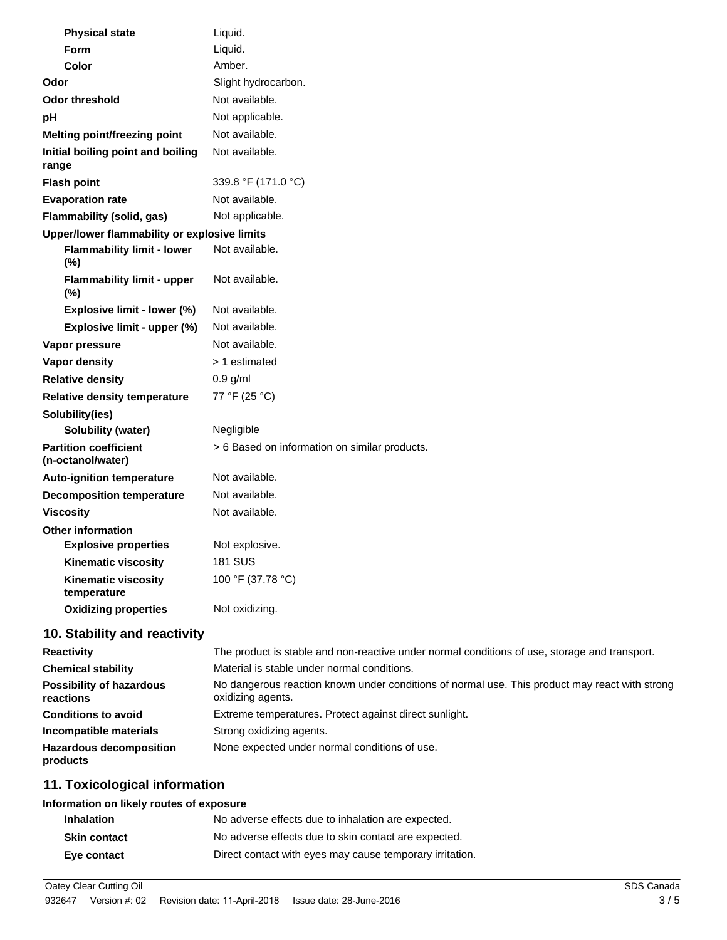| <b>Physical state</b>                             | Liquid.                                                                                         |
|---------------------------------------------------|-------------------------------------------------------------------------------------------------|
| Form                                              | Liquid.                                                                                         |
| Color                                             | Amber.                                                                                          |
| Odor                                              | Slight hydrocarbon.                                                                             |
| <b>Odor threshold</b>                             | Not available.                                                                                  |
| pH                                                | Not applicable.                                                                                 |
| Melting point/freezing point                      | Not available.                                                                                  |
| Initial boiling point and boiling<br>range        | Not available.                                                                                  |
| <b>Flash point</b>                                | 339.8 °F (171.0 °C)                                                                             |
| <b>Evaporation rate</b>                           | Not available.                                                                                  |
| Flammability (solid, gas)                         | Not applicable.                                                                                 |
| Upper/lower flammability or explosive limits      |                                                                                                 |
| <b>Flammability limit - lower</b><br>$(\%)$       | Not available.                                                                                  |
| <b>Flammability limit - upper</b><br>$(\%)$       | Not available.                                                                                  |
| Explosive limit - lower (%)                       | Not available.                                                                                  |
| Explosive limit - upper (%)                       | Not available.                                                                                  |
| Vapor pressure                                    | Not available.                                                                                  |
| <b>Vapor density</b>                              | > 1 estimated                                                                                   |
| <b>Relative density</b>                           | $0.9$ g/ml                                                                                      |
| <b>Relative density temperature</b>               | 77 °F (25 °C)                                                                                   |
| Solubility(ies)                                   |                                                                                                 |
| <b>Solubility (water)</b>                         | Negligible                                                                                      |
| <b>Partition coefficient</b><br>(n-octanol/water) | > 6 Based on information on similar products.                                                   |
| <b>Auto-ignition temperature</b>                  | Not available.                                                                                  |
| <b>Decomposition temperature</b>                  | Not available.                                                                                  |
| <b>Viscosity</b>                                  | Not available.                                                                                  |
| <b>Other information</b>                          |                                                                                                 |
| <b>Explosive properties</b>                       | Not explosive.                                                                                  |
| <b>Kinematic viscosity</b>                        | <b>181 SUS</b>                                                                                  |
| <b>Kinematic viscosity</b><br>temperature         | 100 °F (37.78 °C)                                                                               |
| <b>Oxidizing properties</b>                       | Not oxidizing.                                                                                  |
| 10. Stability and reactivity                      |                                                                                                 |
| <b>Reactivity</b>                                 | The product is stable and non-reactive under normal conditions of use, storage and transport.   |
| <b>Chemical stability</b>                         | Material is stable under normal conditions.                                                     |
| Banathillist of handedation                       | No deparatous reaction known under conditions of normal use. This product may react with strong |

| GHEINIGH SLADING                             | <u>Material is stable under Humidi conditions.</u>                                                                  |
|----------------------------------------------|---------------------------------------------------------------------------------------------------------------------|
| <b>Possibility of hazardous</b><br>reactions | No dangerous reaction known under conditions of normal use. This product may react with strong<br>oxidizing agents. |
| <b>Conditions to avoid</b>                   | Extreme temperatures. Protect against direct sunlight.                                                              |
| Incompatible materials                       | Strong oxidizing agents.                                                                                            |
| <b>Hazardous decomposition</b><br>products   | None expected under normal conditions of use.                                                                       |

# **11. Toxicological information**

### **Information on likely routes of exposure**

| <b>Inhalation</b>   | No adverse effects due to inhalation are expected.       |
|---------------------|----------------------------------------------------------|
| <b>Skin contact</b> | No adverse effects due to skin contact are expected.     |
| Eye contact         | Direct contact with eyes may cause temporary irritation. |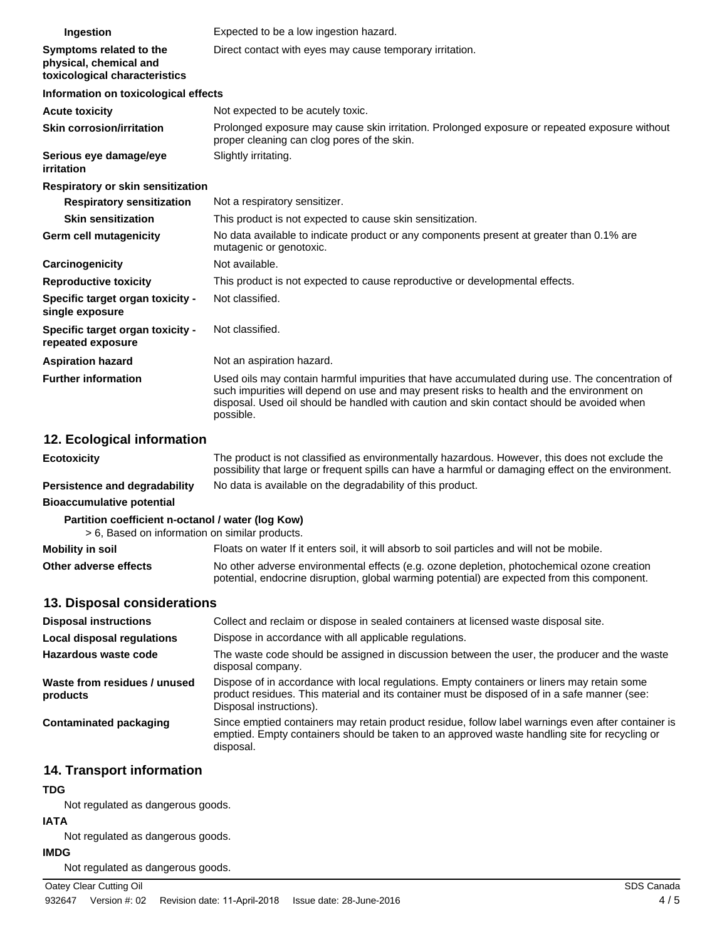| Ingestion                                                                          | Expected to be a low ingestion hazard.                                                                                                                                                                                                                                                                 |
|------------------------------------------------------------------------------------|--------------------------------------------------------------------------------------------------------------------------------------------------------------------------------------------------------------------------------------------------------------------------------------------------------|
| Symptoms related to the<br>physical, chemical and<br>toxicological characteristics | Direct contact with eyes may cause temporary irritation.                                                                                                                                                                                                                                               |
| Information on toxicological effects                                               |                                                                                                                                                                                                                                                                                                        |
| <b>Acute toxicity</b>                                                              | Not expected to be acutely toxic.                                                                                                                                                                                                                                                                      |
| <b>Skin corrosion/irritation</b>                                                   | Prolonged exposure may cause skin irritation. Prolonged exposure or repeated exposure without<br>proper cleaning can clog pores of the skin.                                                                                                                                                           |
| Serious eye damage/eye<br>irritation                                               | Slightly irritating.                                                                                                                                                                                                                                                                                   |
| Respiratory or skin sensitization                                                  |                                                                                                                                                                                                                                                                                                        |
| <b>Respiratory sensitization</b>                                                   | Not a respiratory sensitizer.                                                                                                                                                                                                                                                                          |
| <b>Skin sensitization</b>                                                          | This product is not expected to cause skin sensitization.                                                                                                                                                                                                                                              |
| Germ cell mutagenicity                                                             | No data available to indicate product or any components present at greater than 0.1% are<br>mutagenic or genotoxic.                                                                                                                                                                                    |
| Carcinogenicity                                                                    | Not available.                                                                                                                                                                                                                                                                                         |
| <b>Reproductive toxicity</b>                                                       | This product is not expected to cause reproductive or developmental effects.                                                                                                                                                                                                                           |
| Specific target organ toxicity -<br>single exposure                                | Not classified.                                                                                                                                                                                                                                                                                        |
| Specific target organ toxicity -<br>repeated exposure                              | Not classified.                                                                                                                                                                                                                                                                                        |
| <b>Aspiration hazard</b>                                                           | Not an aspiration hazard.                                                                                                                                                                                                                                                                              |
| <b>Further information</b>                                                         | Used oils may contain harmful impurities that have accumulated during use. The concentration of<br>such impurities will depend on use and may present risks to health and the environment on<br>disposal. Used oil should be handled with caution and skin contact should be avoided when<br>possible. |
| 12. Ecological information                                                         |                                                                                                                                                                                                                                                                                                        |
| <b>Ecotoxicity</b>                                                                 | The product is not classified as environmentally hazardous. However, this does not exclude the<br>possibility that large or frequent spills can have a harmful or damaging effect on the environment.                                                                                                  |

**Persistence and degradability** No data is available on the degradability of this product.

**Bioaccumulative potential**

## **Partition coefficient n-octanol / water (log Kow)**

> 6, Based on information on similar products.

| <b>Mobility in soil</b> | Floats on water If it enters soil, it will absorb to soil particles and will not be mobile.  |
|-------------------------|----------------------------------------------------------------------------------------------|
| Other adverse effects   | No other adverse environmental effects (e.g. ozone depletion, photochemical ozone creation   |
|                         | potential, endocrine disruption, global warming potential) are expected from this component. |

### **13. Disposal considerations**

| <b>Disposal instructions</b>             | Collect and reclaim or dispose in sealed containers at licensed waste disposal site.                                                                                                                                   |
|------------------------------------------|------------------------------------------------------------------------------------------------------------------------------------------------------------------------------------------------------------------------|
| <b>Local disposal regulations</b>        | Dispose in accordance with all applicable regulations.                                                                                                                                                                 |
| Hazardous waste code                     | The waste code should be assigned in discussion between the user, the producer and the waste<br>disposal company.                                                                                                      |
| Waste from residues / unused<br>products | Dispose of in accordance with local regulations. Empty containers or liners may retain some<br>product residues. This material and its container must be disposed of in a safe manner (see:<br>Disposal instructions). |
| Contaminated packaging                   | Since emptied containers may retain product residue, follow label warnings even after container is<br>emptied. Empty containers should be taken to an approved waste handling site for recycling or<br>disposal.       |

# **14. Transport information**

### **TDG**

Not regulated as dangerous goods.

### **IATA**

Not regulated as dangerous goods.

#### **IMDG**

Not regulated as dangerous goods.